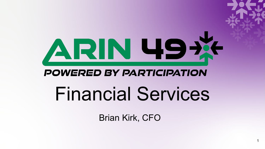# ARN 49X **POWERED BY PARTICIPATION** Financial Services

Brian Kirk, CFO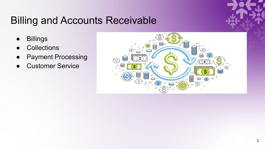#### Billing and Accounts Receivable

- Billings
- **Collections**
- Payment Processing
- **Customer Service**

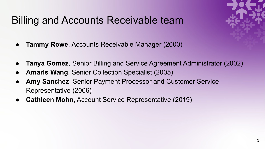#### Billing and Accounts Receivable team

- **Tammy Rowe**, Accounts Receivable Manager (2000)
- **Tanya Gomez**, Senior Billing and Service Agreement Administrator (2002)
- **Amaris Wang**, Senior Collection Specialist (2005)
- Amy Sanchez, Senior Payment Processor and Customer Service Representative (2006)
- **Cathleen Mohn**, Account Service Representative (2019)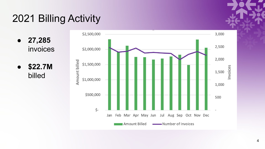## 2021 Billing Activity

● **27,285** invoices

● **\$22.7M**  billed

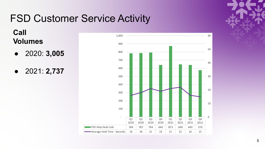### FSD Customer Service Activity

**Call Volumes**

- 2020: **3,005**
- 2021: **2,737**



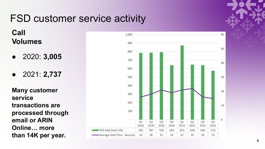#### FSD customer service activity

**Call Volumes**

- 2020: **3,005**
- 2021: **2,737**

**Many customer service transactions are processed through email or ARIN Online… more than 14K per year.**



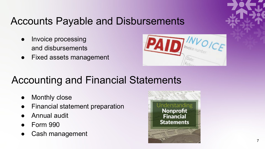#### Accounts Payable and Disbursements

- Invoice processing and disbursements
- Fixed assets management



#### Accounting and Financial Statements

- **Monthly close**
- **Financial statement preparation**
- Annual audit
- Form 990
- Cash management

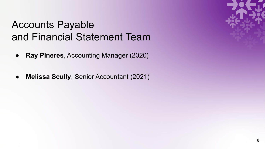#### Accounts Payable and Financial Statement Team

- **Ray Pineres**, Accounting Manager (2020)
- **Melissa Scully**, Senior Accountant (2021)

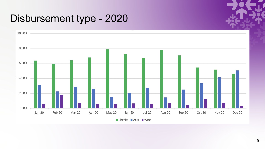#### Disbursement type - 2020

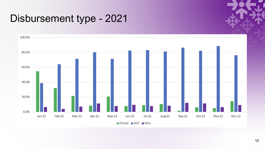#### Disbursement type - 2021

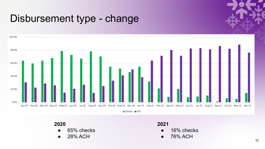#### Disbursement type - change



#### **2020**

- 65% checks
- 28% ACH

#### **2021**

- 16% checks
- 76% ACH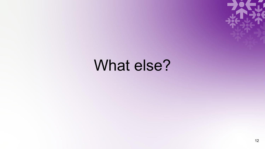

## What else?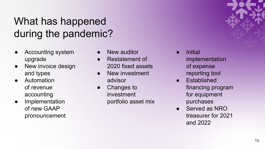### What has happened during the pandemic?

- Accounting system upgrade
- New invoice design and types
- **Automation** of revenue accounting
- Implementation of new GAAP pronouncement
- New auditor
- Restatement of 2020 fixed assets
- New investment advisor
- Changes to investment portfolio asset mix
- **Initial** implementation of expense reporting tool
- **Established** financing program for equipment purchases
- Served as NRO treasurer for 2021 and 2022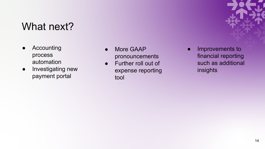#### What next?

- **Accounting** process automation
- Investigating new payment portal
- More GAAP pronouncements
- Further roll out of expense reporting tool

Improvements to financial reporting such as additional insights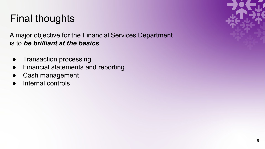#### Final thoughts

A major objective for the Financial Services Department is to *be brilliant at the basics*…

- Transaction processing
- Financial statements and reporting
- Cash management
- Internal controls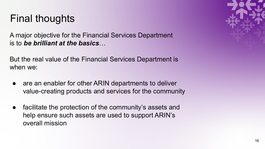#### Final thoughts

A major objective for the Financial Services Department is to *be brilliant at the basics*…

But the real value of the Financial Services Department is when we:

- are an enabler for other ARIN departments to deliver value-creating products and services for the community
- facilitate the protection of the community's assets and help ensure such assets are used to support ARIN's overall mission